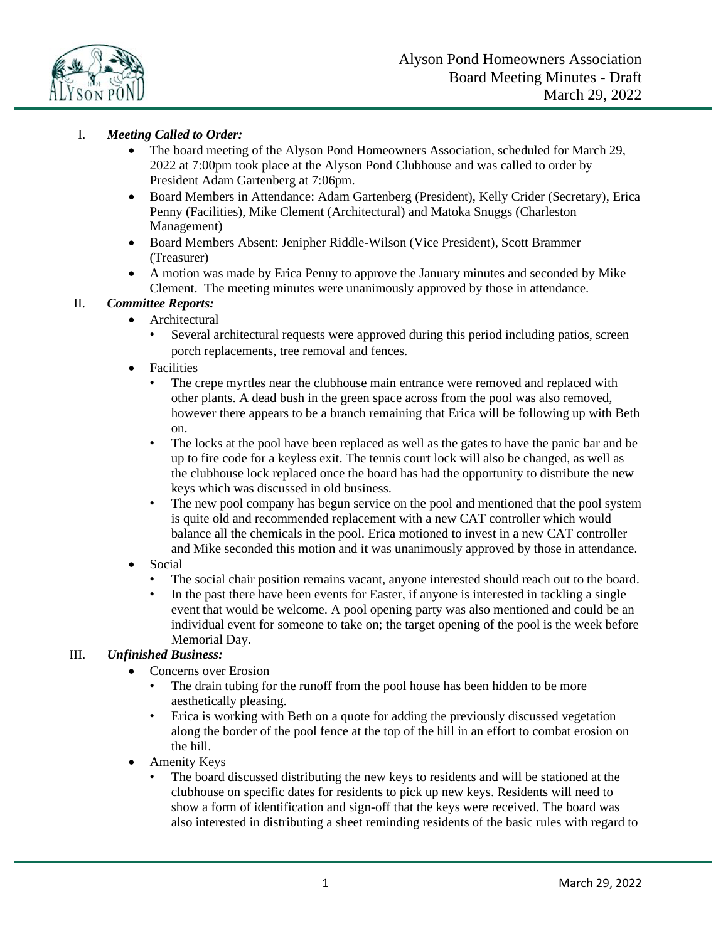

# I. *Meeting Called to Order:*

- The board meeting of the Alyson Pond Homeowners Association, scheduled for March 29, 2022 at 7:00pm took place at the Alyson Pond Clubhouse and was called to order by President Adam Gartenberg at 7:06pm.
- Board Members in Attendance: Adam Gartenberg (President), Kelly Crider (Secretary), Erica Penny (Facilities), Mike Clement (Architectural) and Matoka Snuggs (Charleston Management)
- Board Members Absent: Jenipher Riddle-Wilson (Vice President), Scott Brammer (Treasurer)
- A motion was made by Erica Penny to approve the January minutes and seconded by Mike Clement. The meeting minutes were unanimously approved by those in attendance.

## II. *Committee Reports:*

- Architectural
	- Several architectural requests were approved during this period including patios, screen porch replacements, tree removal and fences.
- **Facilities** 
	- The crepe myrtles near the clubhouse main entrance were removed and replaced with other plants. A dead bush in the green space across from the pool was also removed, however there appears to be a branch remaining that Erica will be following up with Beth on.
	- The locks at the pool have been replaced as well as the gates to have the panic bar and be up to fire code for a keyless exit. The tennis court lock will also be changed, as well as the clubhouse lock replaced once the board has had the opportunity to distribute the new keys which was discussed in old business.
	- The new pool company has begun service on the pool and mentioned that the pool system is quite old and recommended replacement with a new CAT controller which would balance all the chemicals in the pool. Erica motioned to invest in a new CAT controller and Mike seconded this motion and it was unanimously approved by those in attendance.
- Social
	- The social chair position remains vacant, anyone interested should reach out to the board.
	- In the past there have been events for Easter, if anyone is interested in tackling a single event that would be welcome. A pool opening party was also mentioned and could be an individual event for someone to take on; the target opening of the pool is the week before Memorial Day.

### III. *Unfinished Business:*

- Concerns over Erosion
	- The drain tubing for the runoff from the pool house has been hidden to be more aesthetically pleasing.
	- Erica is working with Beth on a quote for adding the previously discussed vegetation along the border of the pool fence at the top of the hill in an effort to combat erosion on the hill.
- Amenity Keys
	- The board discussed distributing the new keys to residents and will be stationed at the clubhouse on specific dates for residents to pick up new keys. Residents will need to show a form of identification and sign-off that the keys were received. The board was also interested in distributing a sheet reminding residents of the basic rules with regard to